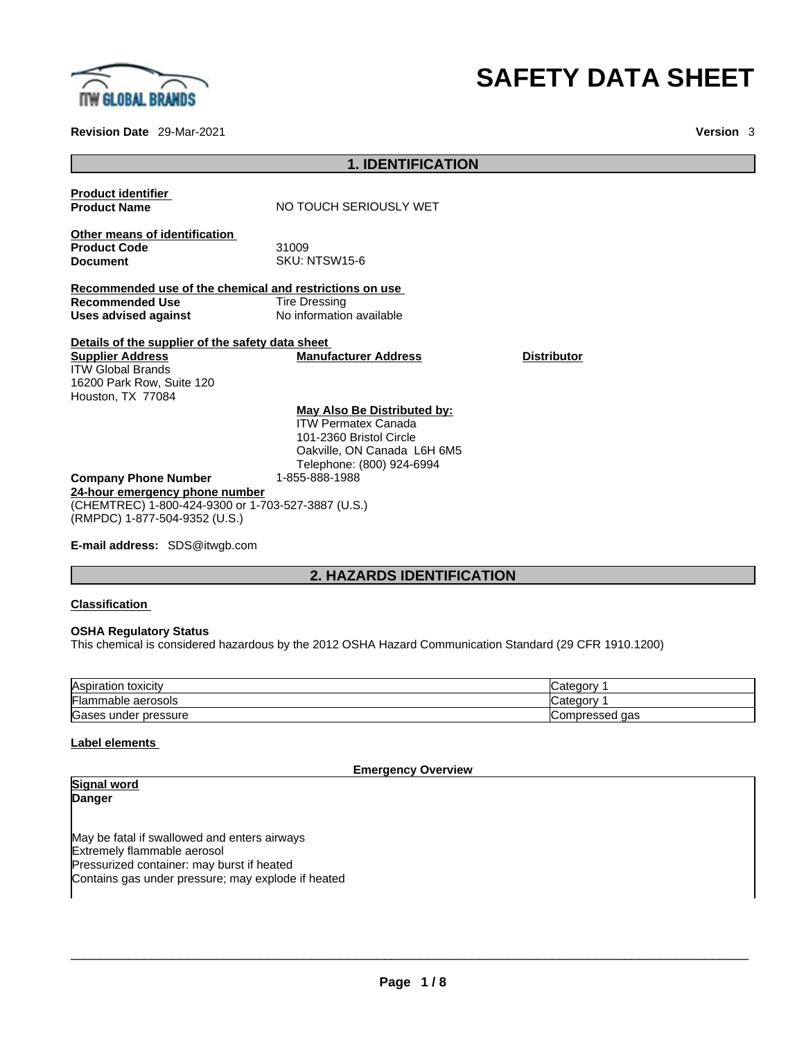

#### **Revision Date** 29-Mar-2021 **Version** 3

# **SAFETY DATA SHEET**

| <b>1. IDENTIFICATION</b>                                                                                                                                  |                                                                                                                                                  |                    |
|-----------------------------------------------------------------------------------------------------------------------------------------------------------|--------------------------------------------------------------------------------------------------------------------------------------------------|--------------------|
| <b>Product identifier</b><br><b>Product Name</b>                                                                                                          | NO TOUCH SERIOUSLY WET                                                                                                                           |                    |
| Other means of identification<br><b>Product Code</b><br><b>Document</b>                                                                                   | 31009<br><b>SKU: NTSW15-6</b>                                                                                                                    |                    |
| Recommended use of the chemical and restrictions on use<br><b>Recommended Use</b><br><b>Uses advised against</b>                                          | <b>Tire Dressing</b><br>No information available                                                                                                 |                    |
| Details of the supplier of the safety data sheet<br><b>Supplier Address</b><br><b>ITW Global Brands</b><br>16200 Park Row, Suite 120<br>Houston, TX 77084 | <b>Manufacturer Address</b>                                                                                                                      | <b>Distributor</b> |
|                                                                                                                                                           | May Also Be Distributed by:<br><b>ITW Permatex Canada</b><br>101-2360 Bristol Circle<br>Oakville, ON Canada L6H 6M5<br>Telephone: (800) 924-6994 |                    |
| <b>Company Phone Number</b><br>24-hour emergency phone number<br>(CHEMTREC) 1-800-424-9300 or 1-703-527-3887 (U.S.)<br>(RMPDC) 1-877-504-9352 (U.S.)      | 1-855-888-1988                                                                                                                                   |                    |

**E-mail address:** SDS@itwgb.com

# **2. HAZARDS IDENTIFICATION**

#### **Classification**

#### **OSHA Regulatory Status**

This chemical is considered hazardous by the 2012 OSHA Hazard Communication Standard (29 CFR 1910.1200)

| Aspiration         | tanon             |
|--------------------|-------------------|
| toxicity           | Calcul            |
| Flammable aerosols | tanon<br>valeuu   |
| Gases              | aas               |
| under pressure     | <b>Compressed</b> |

#### **Label elements**

**Emergency Overview** 

| <b>Signal word</b>                                 |  |
|----------------------------------------------------|--|
| Danger                                             |  |
|                                                    |  |
| May be fatal if swallowed and enters airways       |  |
| Extremely flammable aerosol                        |  |
| Pressurized container: may burst if heated         |  |
| Contains gas under pressure; may explode if heated |  |
|                                                    |  |
|                                                    |  |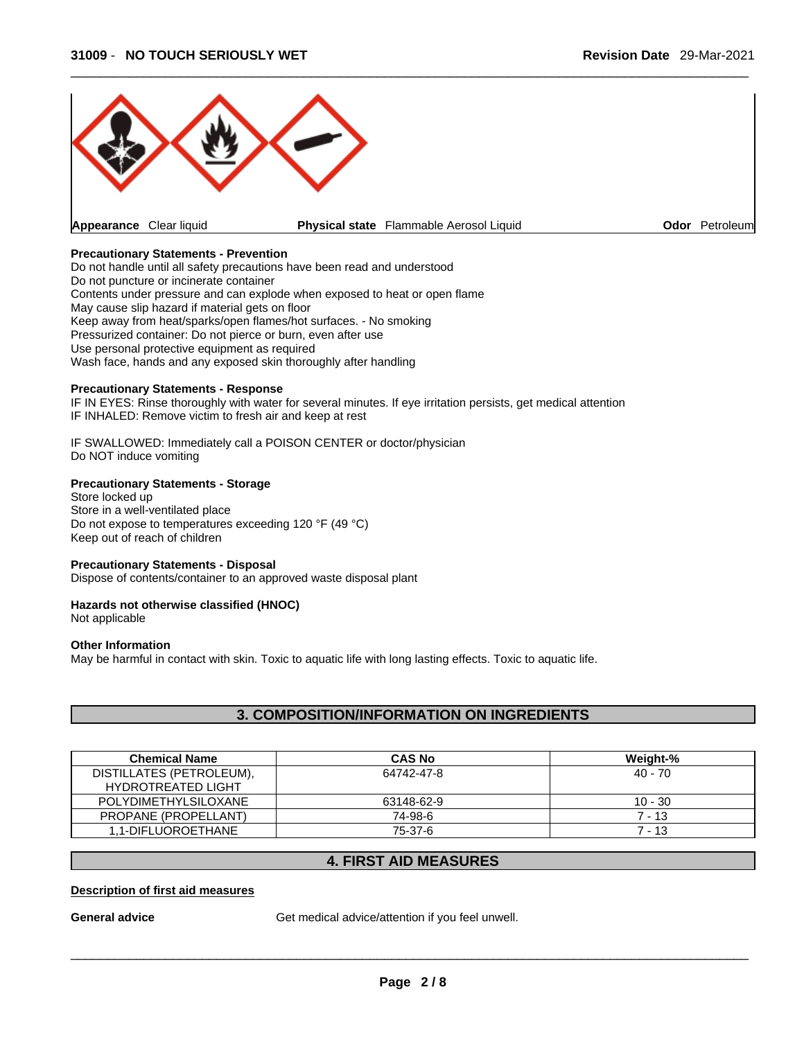

#### **Precautionary Statements - Prevention**

Do not handle until all safety precautions have been read and understood Do not puncture or incinerate container Contents under pressure and can explode when exposed to heat or open flame May cause slip hazard if material gets on floor Keep away from heat/sparks/open flames/hot surfaces. - No smoking Pressurized container: Do not pierce or burn, even after use Use personal protective equipment as required Wash face, hands and any exposed skin thoroughly after handling

#### **Precautionary Statements - Response**

IF IN EYES: Rinse thoroughly with water for several minutes. If eye irritation persists, get medical attention IF INHALED: Remove victim to fresh air and keep at rest

IF SWALLOWED: Immediately call a POISON CENTER or doctor/physician Do NOT induce vomiting

#### **Precautionary Statements - Storage**

Store locked up Store in a well-ventilated place Do not expose to temperatures exceeding 120 °F (49 °C) Keep out of reach of children

#### **Precautionary Statements - Disposal**

Dispose of contents/container to an approved waste disposal plant

#### **Hazards not otherwise classified (HNOC)**

Not applicable

#### **Other Information**

May be harmful in contact with skin. Toxic to aquatic life with long lasting effects. Toxic to aquatic life.

### **3. COMPOSITION/INFORMATION ON INGREDIENTS**

| <b>Chemical Name</b>        | <b>CAS No</b> | Weight-%  |
|-----------------------------|---------------|-----------|
| DISTILLATES (PETROLEUM),    | 64742-47-8    | 40 - 70   |
| <b>HYDROTREATED LIGHT</b>   |               |           |
| <b>POLYDIMETHYLSILOXANE</b> | 63148-62-9    | $10 - 30$ |
| PROPANE (PROPELLANT)        | 74-98-6       | $7 - 13$  |
| 1.1-DIFLUOROETHANE          | 75-37-6       | $7 - 13$  |

## **4. FIRST AID MEASURES**

#### **Description of first aid measures**

General **advice** Get medical advice/attention if you feel unwell.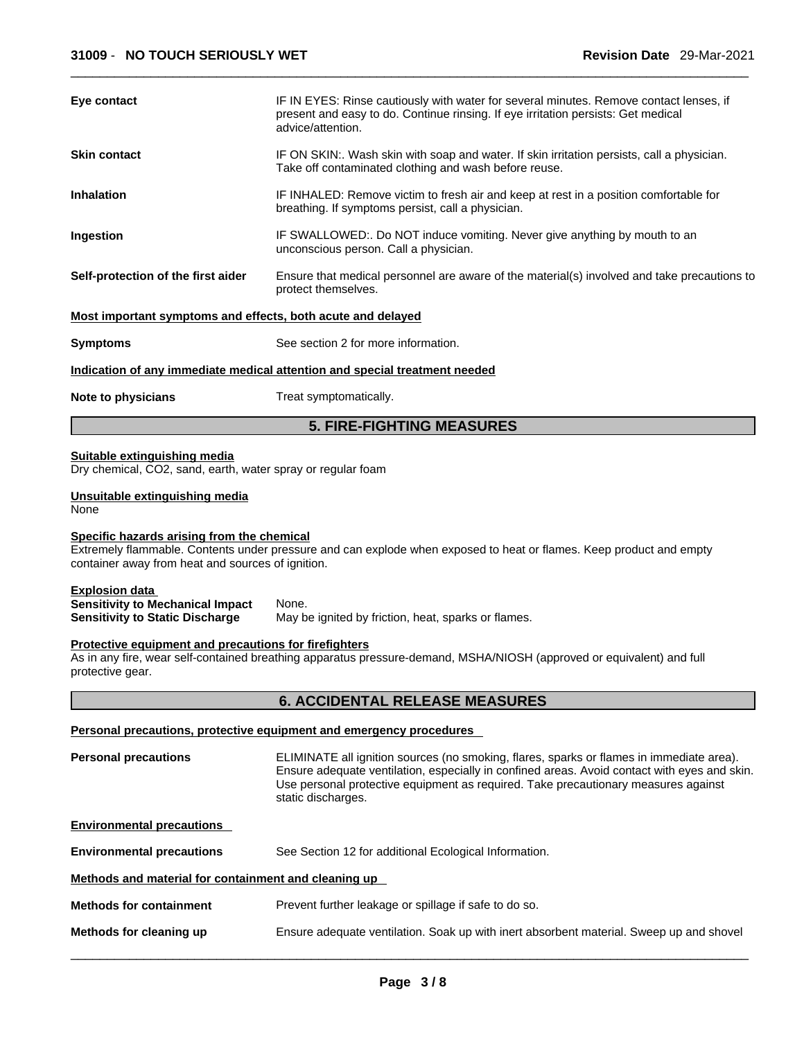| Eye contact                                                                                                | IF IN EYES: Rinse cautiously with water for several minutes. Remove contact lenses, if<br>present and easy to do. Continue rinsing. If eye irritation persists: Get medical<br>advice/attention.                                                                                                     |
|------------------------------------------------------------------------------------------------------------|------------------------------------------------------------------------------------------------------------------------------------------------------------------------------------------------------------------------------------------------------------------------------------------------------|
| Skin contact                                                                                               | IF ON SKIN:. Wash skin with soap and water. If skin irritation persists, call a physician.<br>Take off contaminated clothing and wash before reuse.                                                                                                                                                  |
| <b>Inhalation</b>                                                                                          | IF INHALED: Remove victim to fresh air and keep at rest in a position comfortable for<br>breathing. If symptoms persist, call a physician.                                                                                                                                                           |
| Ingestion                                                                                                  | IF SWALLOWED:. Do NOT induce vomiting. Never give anything by mouth to an<br>unconscious person. Call a physician.                                                                                                                                                                                   |
| Self-protection of the first aider                                                                         | Ensure that medical personnel are aware of the material(s) involved and take precautions to<br>protect themselves.                                                                                                                                                                                   |
| Most important symptoms and effects, both acute and delayed                                                |                                                                                                                                                                                                                                                                                                      |
| <b>Symptoms</b>                                                                                            | See section 2 for more information.                                                                                                                                                                                                                                                                  |
|                                                                                                            | Indication of any immediate medical attention and special treatment needed                                                                                                                                                                                                                           |
| Note to physicians                                                                                         | Treat symptomatically.                                                                                                                                                                                                                                                                               |
|                                                                                                            | <b>5. FIRE-FIGHTING MEASURES</b>                                                                                                                                                                                                                                                                     |
| Suitable extinguishing media<br>Dry chemical, CO2, sand, earth, water spray or regular foam                |                                                                                                                                                                                                                                                                                                      |
| Unsuitable extinguishing media<br>None                                                                     |                                                                                                                                                                                                                                                                                                      |
| Specific hazards arising from the chemical<br>container away from heat and sources of ignition.            | Extremely flammable. Contents under pressure and can explode when exposed to heat or flames. Keep product and empty                                                                                                                                                                                  |
| <b>Explosion data</b><br><b>Sensitivity to Mechanical Impact</b><br><b>Sensitivity to Static Discharge</b> | None.<br>May be ignited by friction, heat, sparks or flames.                                                                                                                                                                                                                                         |
| Protective equipment and precautions for firefighters<br>protective gear.                                  | As in any fire, wear self-contained breathing apparatus pressure-demand, MSHA/NIOSH (approved or equivalent) and full                                                                                                                                                                                |
|                                                                                                            | <b>6. ACCIDENTAL RELEASE MEASURES</b>                                                                                                                                                                                                                                                                |
|                                                                                                            | Personal precautions, protective equipment and emergency procedures                                                                                                                                                                                                                                  |
| <b>Personal precautions</b>                                                                                | ELIMINATE all ignition sources (no smoking, flares, sparks or flames in immediate area).<br>Ensure adequate ventilation, especially in confined areas. Avoid contact with eyes and skin.<br>Use personal protective equipment as required. Take precautionary measures against<br>static discharges. |
| <b>Environmental precautions</b>                                                                           |                                                                                                                                                                                                                                                                                                      |
| <b>Environmental precautions</b>                                                                           | See Section 12 for additional Ecological Information.                                                                                                                                                                                                                                                |
| Methods and material for containment and cleaning up                                                       |                                                                                                                                                                                                                                                                                                      |

- **Methods for containment** Prevent further leakage or spillage if safe to do so.
- **Methods for cleaning up** Ensure adequate ventilation. Soak up with inert absorbent material. Sweep up and shovel  $\_$  ,  $\_$  ,  $\_$  ,  $\_$  ,  $\_$  ,  $\_$  ,  $\_$  ,  $\_$  ,  $\_$  ,  $\_$  ,  $\_$  ,  $\_$  ,  $\_$  ,  $\_$  ,  $\_$  ,  $\_$  ,  $\_$  ,  $\_$  ,  $\_$  ,  $\_$  ,  $\_$  ,  $\_$  ,  $\_$  ,  $\_$  ,  $\_$  ,  $\_$  ,  $\_$  ,  $\_$  ,  $\_$  ,  $\_$  ,  $\_$  ,  $\_$  ,  $\_$  ,  $\_$  ,  $\_$  ,  $\_$  ,  $\_$  ,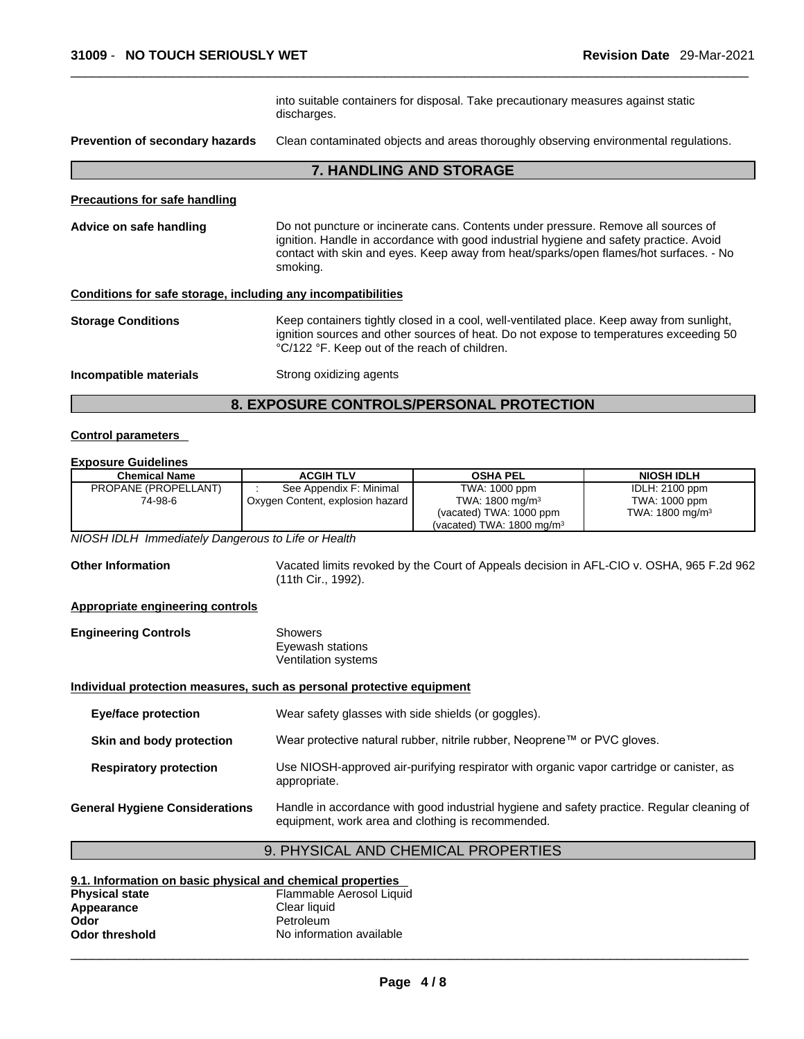|                                                              | into suitable containers for disposal. Take precautionary measures against static<br>discharges.                                                                                                                                                                                  |
|--------------------------------------------------------------|-----------------------------------------------------------------------------------------------------------------------------------------------------------------------------------------------------------------------------------------------------------------------------------|
| <b>Prevention of secondary hazards</b>                       | Clean contaminated objects and areas thoroughly observing environmental regulations.                                                                                                                                                                                              |
|                                                              | <b>7. HANDLING AND STORAGE</b>                                                                                                                                                                                                                                                    |
| <b>Precautions for safe handling</b>                         |                                                                                                                                                                                                                                                                                   |
| Advice on safe handling                                      | Do not puncture or incinerate cans. Contents under pressure. Remove all sources of<br>ignition. Handle in accordance with good industrial hygiene and safety practice. Avoid<br>contact with skin and eyes. Keep away from heat/sparks/open flames/hot surfaces. - No<br>smoking. |
| Conditions for safe storage, including any incompatibilities |                                                                                                                                                                                                                                                                                   |
| <b>Storage Conditions</b>                                    | Keep containers tightly closed in a cool, well-ventilated place. Keep away from sunlight,<br>ignition sources and other sources of heat. Do not expose to temperatures exceeding 50<br>°C/122 °F. Keep out of the reach of children.                                              |
| Incompatible materials                                       | Strong oxidizing agents                                                                                                                                                                                                                                                           |
|                                                              |                                                                                                                                                                                                                                                                                   |

# **8. EXPOSURE CONTROLS/PERSONAL PROTECTION**

#### **Control parameters**

#### **Exposure Guidelines**

| <b>Chemical Name</b> | <b>ACGIH TLV</b>                 | <b>OSHA PEL</b>                      | <b>NIOSH IDLH</b>          |
|----------------------|----------------------------------|--------------------------------------|----------------------------|
| PROPANE (PROPELLANT) | See Appendix F: Minimal          | TWA: 1000 ppm                        | IDLH: 2100 ppm             |
| 74-98-6              | Oxygen Content, explosion hazard | TWA: $1800 \text{ mg/m}^3$           | TWA: 1000 ppm              |
|                      |                                  | (vacated) TWA: 1000 ppm              | TWA: $1800 \text{ mg/m}^3$ |
|                      |                                  | (vacated) TWA: $1800 \text{ mg/m}^3$ |                            |

*NIOSH IDLH Immediately Dangerous to Life or Health* 

**Other Information** Vacated limits revoked by the Court of Appeals decision in AFL-CIO v.OSHA, 965 F.2d 962 (11th Cir., 1992).

#### **Appropriate engineering controls**

| <b>Engineering Controls</b> | Showers             |  |
|-----------------------------|---------------------|--|
|                             | Eyewash stations    |  |
|                             | Ventilation systems |  |

#### **Individual protection measures, such as personal protective equipment**

| <b>Eye/face protection</b>            | Wear safety glasses with side shields (or goggles).                                                                                             |
|---------------------------------------|-------------------------------------------------------------------------------------------------------------------------------------------------|
| Skin and body protection              | Wear protective natural rubber, nitrile rubber, Neoprene™ or PVC gloves.                                                                        |
| <b>Respiratory protection</b>         | Use NIOSH-approved air-purifying respirator with organic vapor cartridge or canister, as<br>appropriate.                                        |
| <b>General Hygiene Considerations</b> | Handle in accordance with good industrial hygiene and safety practice. Regular cleaning of<br>equipment, work area and clothing is recommended. |

# 9. PHYSICAL AND CHEMICAL PROPERTIES

| 9.1. Information on basic physical and chemical properties |                          |  |
|------------------------------------------------------------|--------------------------|--|
| <b>Physical state</b>                                      | Flammable Aerosol Liquid |  |
| Appearance                                                 | Clear liquid             |  |
| Odor                                                       | Petroleum                |  |
| <b>Odor threshold</b>                                      | No information available |  |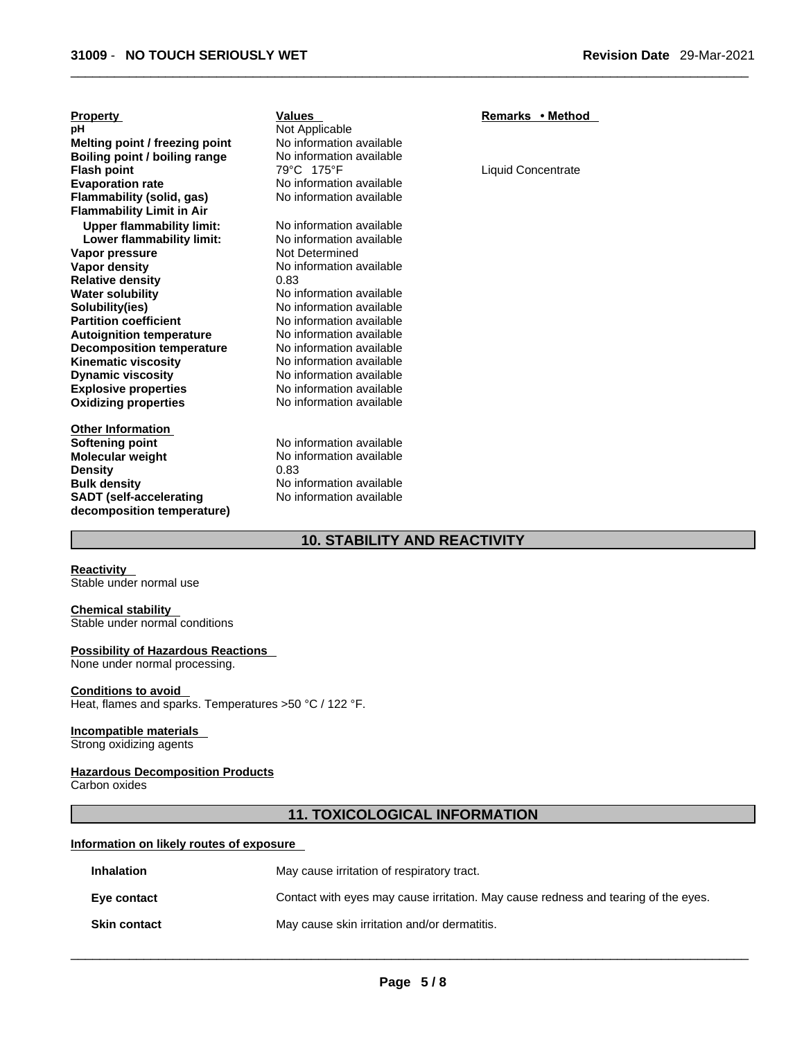| <b>Property</b>                  | <b>Values</b>            | Remarks • Method          |
|----------------------------------|--------------------------|---------------------------|
| рH                               | Not Applicable           |                           |
| Melting point / freezing point   | No information available |                           |
| Boiling point / boiling range    | No information available |                           |
| <b>Flash point</b>               | 79°C 175°F               | <b>Liquid Concentrate</b> |
| <b>Evaporation rate</b>          | No information available |                           |
| Flammability (solid, gas)        | No information available |                           |
| <b>Flammability Limit in Air</b> |                          |                           |
| <b>Upper flammability limit:</b> | No information available |                           |
| Lower flammability limit:        | No information available |                           |
| Vapor pressure                   | Not Determined           |                           |
| <b>Vapor density</b>             | No information available |                           |
| <b>Relative density</b>          | 0.83                     |                           |
| <b>Water solubility</b>          | No information available |                           |
| Solubility(ies)                  | No information available |                           |
| <b>Partition coefficient</b>     | No information available |                           |
| <b>Autoignition temperature</b>  | No information available |                           |
| <b>Decomposition temperature</b> | No information available |                           |
| <b>Kinematic viscosity</b>       | No information available |                           |
| <b>Dynamic viscosity</b>         | No information available |                           |
| <b>Explosive properties</b>      | No information available |                           |
| <b>Oxidizing properties</b>      | No information available |                           |
|                                  |                          |                           |
| <b>Other Information</b>         |                          |                           |
| Softening point                  | No information available |                           |
| Molecular weight                 | No information available |                           |
| <b>Density</b>                   | 0.83                     |                           |
| <b>Bulk density</b>              | No information available |                           |
| <b>SADT</b> (self-accelerating   | No information available |                           |
| decomposition temperature)       |                          |                           |

# **10. STABILITY AND REACTIVITY**

**Reactivity** 

Stable under normal use

# **Chemical stability**

Stable under normal conditions

### **Possibility of Hazardous Reactions**

None under normal processing.

#### **Conditions to avoid**

Heat, flames and sparks. Temperatures >50 °C / 122 °F.

#### **Incompatible materials**

Strong oxidizing agents

#### **Hazardous Decomposition Products**

Carbon oxides

#### **11. TOXICOLOGICAL INFORMATION**

#### **Information on likely routes of exposure**

| <b>Inhalation</b>   | May cause irritation of respiratory tract.                                         |
|---------------------|------------------------------------------------------------------------------------|
| Eye contact         | Contact with eyes may cause irritation. May cause redness and tearing of the eyes. |
| <b>Skin contact</b> | May cause skin irritation and/or dermatitis.                                       |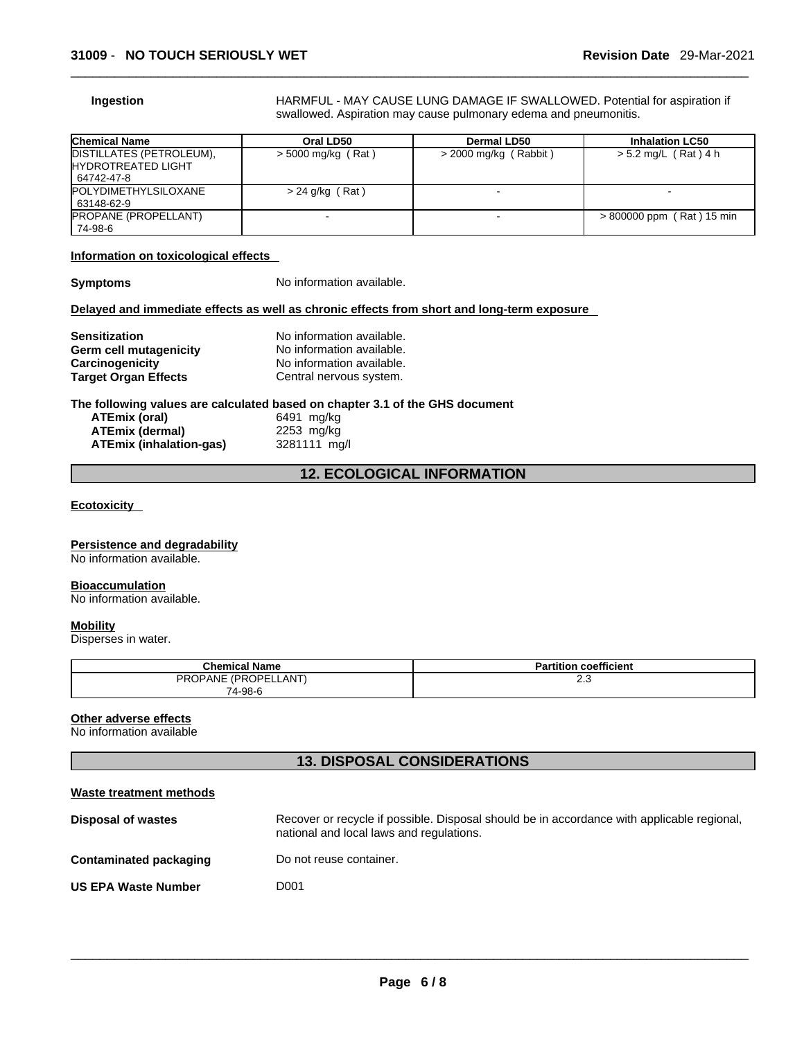**Ingestion HARMFUL - MAY CAUSE LUNG DAMAGE IF SWALLOWED. Potential for aspiration if** swallowed. Aspiration may cause pulmonary edema and pneumonitis.

| <b>Chemical Name</b>                                          | Oral LD50            | Dermal LD50             | <b>Inhalation LC50</b>    |
|---------------------------------------------------------------|----------------------|-------------------------|---------------------------|
| DISTILLATES (PETROLEUM),<br>IHYDROTREATED LIGHT<br>64742-47-8 | $>$ 5000 mg/kg (Rat) | $>$ 2000 mg/kg (Rabbit) | $> 5.2$ mg/L (Rat) 4 h    |
| <b>IPOLYDIMETHYLSILOXANE</b><br>  63148-62-9                  | $> 24$ g/kg (Rat)    |                         |                           |
| PROPANE (PROPELLANT)<br>74-98-6                               |                      |                         | > 800000 ppm (Rat) 15 min |

#### **Information on toxicological effects**

**Symptoms** No information available.

#### **Delayed and immediate effects as well as chronic effects from short and long-term exposure**

| <b>Sensitization</b>        | No information available. |
|-----------------------------|---------------------------|
| Germ cell mutagenicity      | No information available. |
| Carcinogenicity             | No information available. |
| <b>Target Organ Effects</b> | Central nervous system.   |

#### **The following values are calculated based on chapter 3.1 of the GHS document**

| ATEmix (oral)                  | 6491 mg/kg   |
|--------------------------------|--------------|
| <b>ATEmix (dermal)</b>         | $2253$ mg/kg |
| <b>ATEmix (inhalation-gas)</b> | 3281111 mg/l |

# **12. ECOLOGICAL INFORMATION**

**Ecotoxicity** 

#### **Persistence and degradability**

No information available.

#### **Bioaccumulation**

No information available.

#### **Mobility**

Disperses in water.

| <b>Chemical Name</b> | <b>Partition coefficient</b> |
|----------------------|------------------------------|
| PROPANE (PROPELLANT) | ن ے                          |
| 74-98-6              |                              |

#### **Other adverse effects**

No information available

### **13. DISPOSAL CONSIDERATIONS**

| Waste treatment methods    |                                                                                                                                        |
|----------------------------|----------------------------------------------------------------------------------------------------------------------------------------|
| <b>Disposal of wastes</b>  | Recover or recycle if possible. Disposal should be in accordance with applicable regional,<br>national and local laws and regulations. |
| Contaminated packaging     | Do not reuse container.                                                                                                                |
| <b>US EPA Waste Number</b> | D001                                                                                                                                   |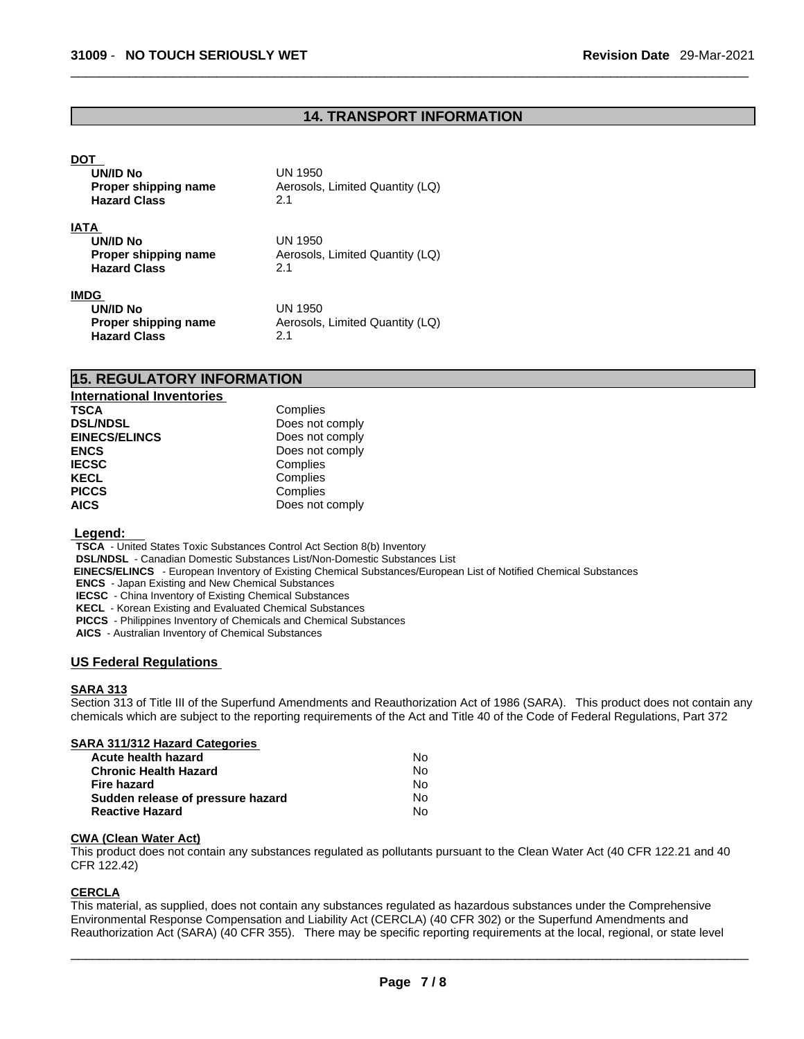#### **14. TRANSPORT INFORMATION**

#### **DOT**

| <b>UN/ID No</b><br>Proper shipping name<br><b>Hazard Class</b>         | UN 1950<br>Aerosols, Limited Quantity (LQ)<br>2.1        |  |
|------------------------------------------------------------------------|----------------------------------------------------------|--|
| <b>IATA</b><br>UN/ID No<br>Proper shipping name<br><b>Hazard Class</b> | <b>UN 1950</b><br>Aerosols, Limited Quantity (LQ)<br>2.1 |  |
| <b>IMDG</b><br><b>UN/ID No</b><br>Proper shipping name                 | UN 1950<br>Aerosols, Limited Quantity (LQ)               |  |

**Hazard Class** 2.1

#### **15. REGULATORY INFORMATION**

| <b>International Inventories</b> |                 |
|----------------------------------|-----------------|
| <b>TSCA</b>                      | Complies        |
| <b>DSL/NDSL</b>                  | Does not comply |
| <b>EINECS/ELINCS</b>             | Does not comply |
| <b>ENCS</b>                      | Does not comply |
| <b>IECSC</b>                     | Complies        |
| <b>KECL</b>                      | Complies        |
| <b>PICCS</b>                     | Complies        |
| <b>AICS</b>                      | Does not comply |

#### **Legend:**

**TSCA** - United States Toxic Substances Control Act Section 8(b) Inventory

**DSL/NDSL** - Canadian Domestic Substances List/Non-Domestic Substances List

 **EINECS/ELINCS** - European Inventory of Existing Chemical Substances/European List of Notified Chemical Substances

**ENCS** - Japan Existing and New Chemical Substances

**IECSC** - China Inventory of Existing Chemical Substances

**KECL** - Korean Existing and Evaluated Chemical Substances

**PICCS** - Philippines Inventory of Chemicals and Chemical Substances

**AICS** - Australian Inventory of Chemical Substances

#### **US Federal Regulations**

#### **SARA 313**

Section 313 of Title III of the Superfund Amendments and Reauthorization Act of 1986 (SARA). This product does not contain any chemicals which are subject to the reporting requirements of the Act and Title 40 of the Code of Federal Regulations, Part 372

#### **SARA 311/312 Hazard Categories**

| Acute health hazard               | No. |  |
|-----------------------------------|-----|--|
| Chronic Health Hazard             | Nο  |  |
| Fire hazard                       | No. |  |
| Sudden release of pressure hazard | No. |  |
| Reactive Hazard                   | N٥  |  |

#### **CWA (Clean WaterAct)**

This product does not contain any substances regulated as pollutants pursuant to the Clean Water Act (40 CFR 122.21 and 40 CFR 122.42)

#### **CERCLA**

This material, as supplied, does not contain any substances regulated as hazardous substances under the Comprehensive Environmental Response Compensation and Liability Act (CERCLA) (40 CFR 302) or the Superfund Amendments and Reauthorization Act (SARA) (40 CFR 355). There may be specific reporting requirements at the local, regional, or state level